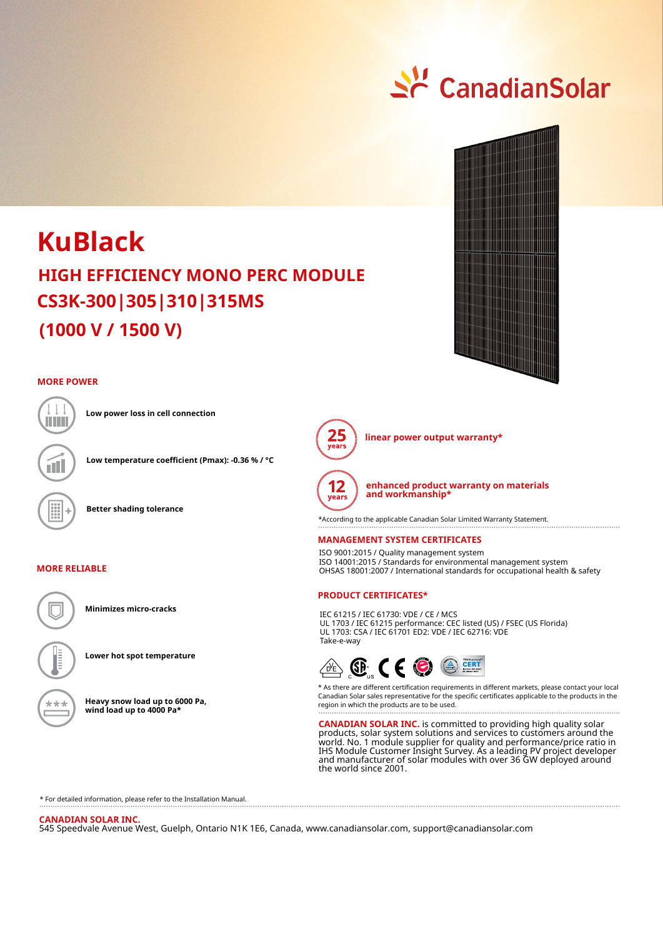# St CanadianSolar

## **HIGH EFFICIENCY MONO PERC MODULE KuBlack CS3K-300|305|310|315MS (1000 V / 1500 V)**

### **MORE POWER**



**Low power loss in cell connection**

**Low temperature coefficient (Pmax): -0.36 % / °C**

**Better shading tolerance**

### **MORE RELIABLE**

**Lower hot spot temperature Minimizes micro-cracks**

**Heavy snow load up to 6000 Pa, wind load up to 4000 Pa\***



**linear power output warranty\***



**enhanced product warranty on materials and workmanship\***

\*According to the applicable Canadian Solar Limited Warranty Statement.

#### **MANAGEMENT SYSTEM CERTIFICATES**

ISO 9001:2015 / Quality management system ISO 14001:2015 / Standards for environmental management system OHSAS 18001:2007 / International standards for occupational health & safety

### **PRODUCT CERTIFICATES\***

IEC 61215 / IEC 61730: VDE / CE / MCS UL 1703 / IEC 61215 performance: CEC listed (US) / FSEC (US Florida) UL 1703: CSA / IEC 61701 ED2: VDE / IEC 62716: VDE Take-e-way



\* As there are different certification requirements in different markets, please contact your local Canadian Solar sales representative for the specific certificates applicable to the products in the region in which the products are to be used.

**CANADIAN SOLAR INC.** is committed to providing high quality solar products, solar system solutions and services to customers around the world. No. 1 module supplier for quality and performance/price ratio in IHS Module Customer Insight Survey. As a leading PV project developer and manufacturer of solar modules with over 36 GW deployed around the world since 2001.

\* For detailed information, please refer to the Installation Manual.

**CANADIAN SOLAR INC.** 

545 Speedvale Avenue West, Guelph, Ontario N1K 1E6, Canada, www.canadiansolar.com, support@canadiansolar.com